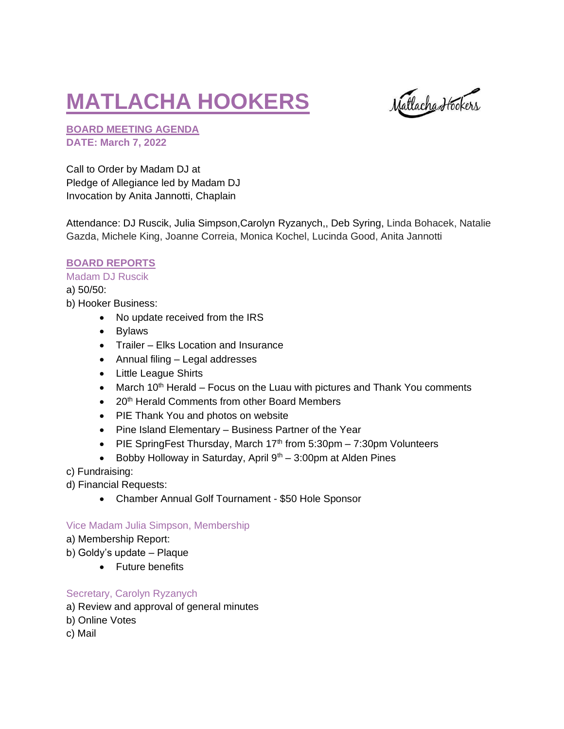# **MATLACHA HOOKERS**

Natlacha Hookers

**BOARD MEETING AGENDA DATE: March 7, 2022**

Call to Order by Madam DJ at Pledge of Allegiance led by Madam DJ Invocation by Anita Jannotti, Chaplain

Attendance: DJ Ruscik, Julia Simpson,Carolyn Ryzanych,, Deb Syring, Linda Bohacek, Natalie Gazda, Michele King, Joanne Correia, Monica Kochel, Lucinda Good, Anita Jannotti

# **BOARD REPORTS**

#### Madam DJ Ruscik

a) 50/50: b) Hooker Business:

- No update received from the IRS
- Bylaws
- Trailer Elks Location and Insurance
- Annual filing Legal addresses
- Little League Shirts
- March  $10<sup>th</sup>$  Herald Focus on the Luau with pictures and Thank You comments
- 20<sup>th</sup> Herald Comments from other Board Members
- PIE Thank You and photos on website
- Pine Island Elementary Business Partner of the Year
- PIE SpringFest Thursday, March  $17<sup>th</sup>$  from 5:30pm 7:30pm Volunteers
- Bobby Holloway in Saturday, April  $9<sup>th</sup> 3:00$ pm at Alden Pines
- c) Fundraising:
- d) Financial Requests:
	- Chamber Annual Golf Tournament \$50 Hole Sponsor

# Vice Madam Julia Simpson, Membership

- a) Membership Report:
- b) Goldy's update Plaque
	- Future benefits

# Secretary, Carolyn Ryzanych

- a) Review and approval of general minutes
- b) Online Votes
- c) Mail